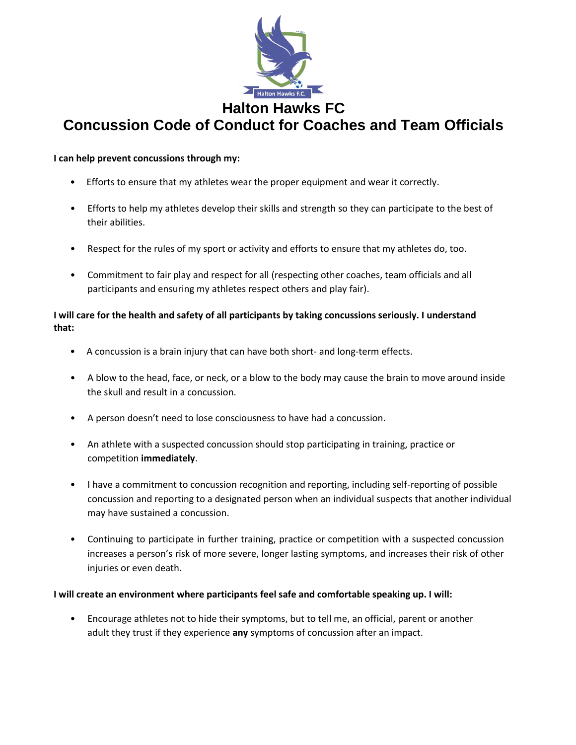

## **I can help prevent concussions through my:**

- Efforts to ensure that my athletes wear the proper equipment and wear it correctly.
- Efforts to help my athletes develop their skills and strength so they can participate to the best of their abilities.
- Respect for the rules of my sport or activity and efforts to ensure that my athletes do, too.
- Commitment to fair play and respect for all (respecting other coaches, team officials and all participants and ensuring my athletes respect others and play fair).

## **I will care for the health and safety of all participants by taking concussions seriously. I understand that:**

- A concussion is a brain injury that can have both short- and long-term effects.
- A blow to the head, face, or neck, or a blow to the body may cause the brain to move around inside the skull and result in a concussion.
- A person doesn't need to lose consciousness to have had a concussion.
- An athlete with a suspected concussion should stop participating in training, practice or competition **immediately**.
- I have a commitment to concussion recognition and reporting, including self-reporting of possible concussion and reporting to a designated person when an individual suspects that another individual may have sustained a concussion.
- Continuing to participate in further training, practice or competition with a suspected concussion increases a person's risk of more severe, longer lasting symptoms, and increases their risk of other injuries or even death.

## **I will create an environment where participants feel safe and comfortable speaking up. I will:**

• Encourage athletes not to hide their symptoms, but to tell me, an official, parent or another adult they trust if they experience **any** symptoms of concussion after an impact.